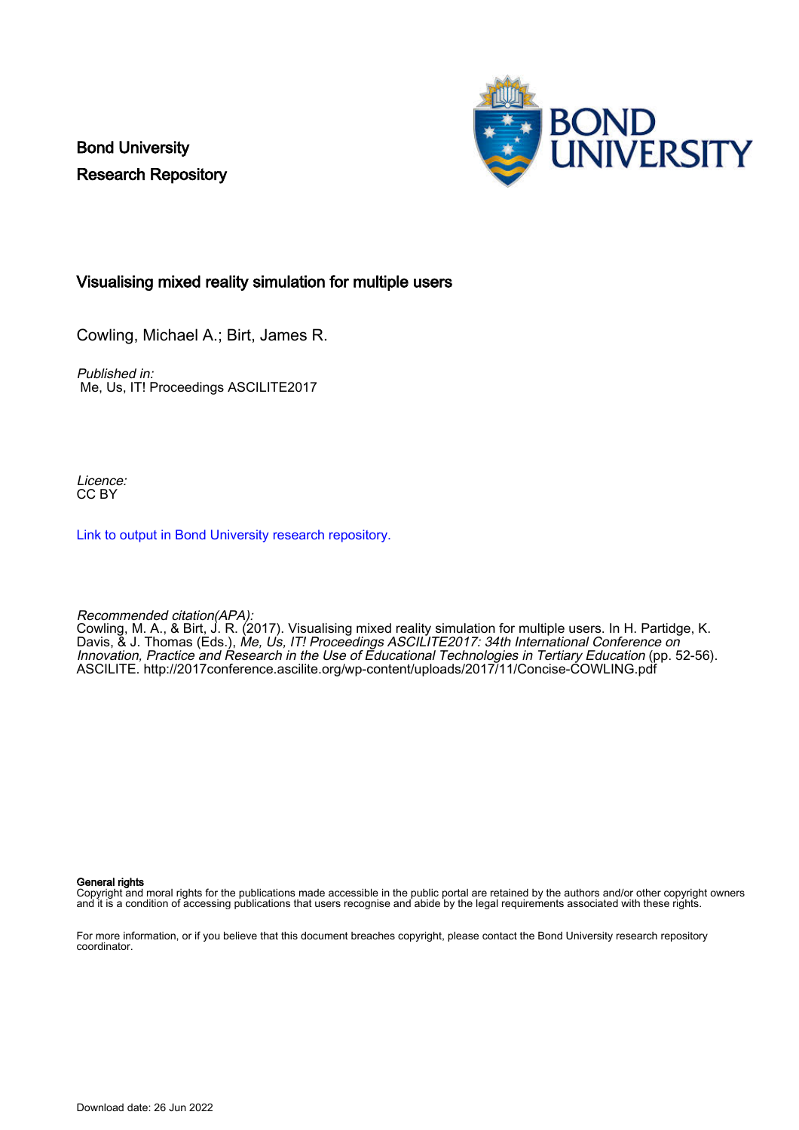Bond University Research Repository



### Visualising mixed reality simulation for multiple users

Cowling, Michael A.; Birt, James R.

Published in: Me, Us, IT! Proceedings ASCILITE2017

Licence: CC BY

[Link to output in Bond University research repository.](https://research.bond.edu.au/en/publications/3a40f400-ac7a-41f9-af61-3c30378f82bc)

Recommended citation(APA):

Cowling, M. A., & Birt, J. R. (2017). Visualising mixed reality simulation for multiple users. In H. Partidge, K. Davis, & J. Thomas (Eds.), Me, Us, IT! Proceedings ASCILITE2017: 34th International Conference on Innovation, Practice and Research in the Use of Educational Technologies in Tertiary Education (pp. 52-56). ASCILITE. <http://2017conference.ascilite.org/wp-content/uploads/2017/11/Concise-COWLING.pdf>

General rights

Copyright and moral rights for the publications made accessible in the public portal are retained by the authors and/or other copyright owners and it is a condition of accessing publications that users recognise and abide by the legal requirements associated with these rights.

For more information, or if you believe that this document breaches copyright, please contact the Bond University research repository coordinator.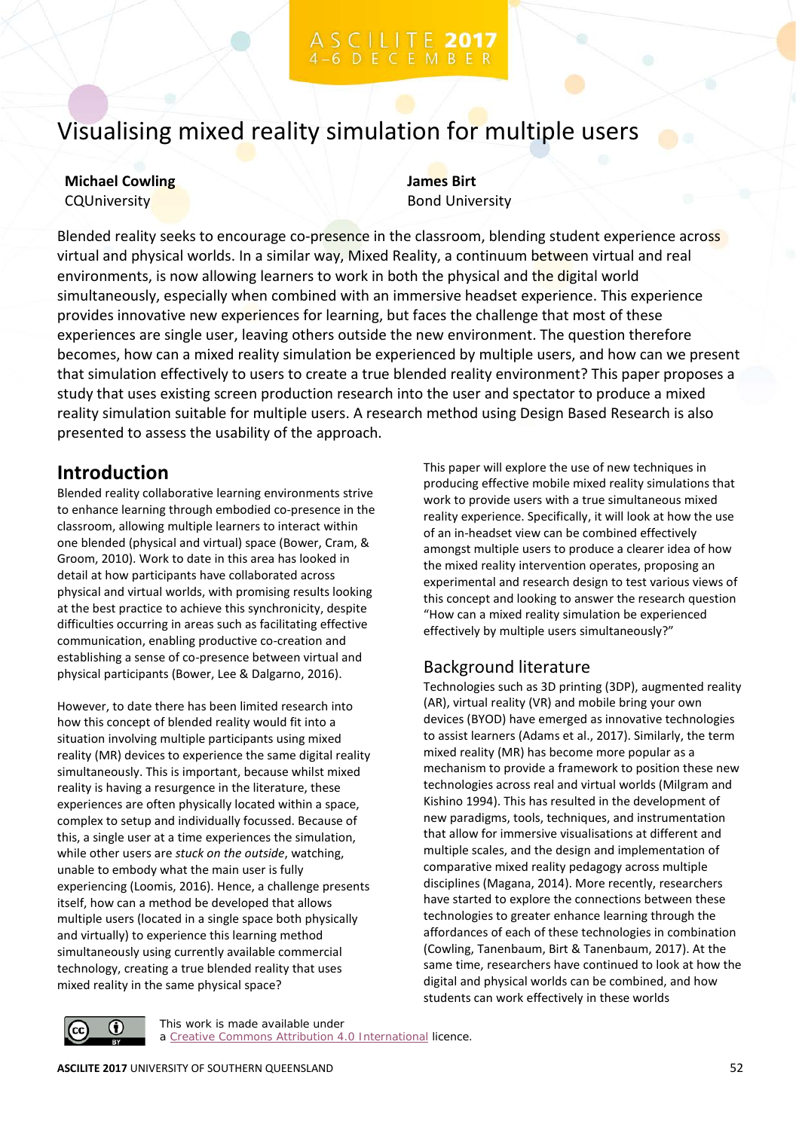# Visualising mixed reality simulation for multiple users

### **Michael Cowling CQUniversity**

**James Birt** Bond University

Blended reality seeks to encourage co-presence in the classroom, blending student experience across virtual and physical worlds. In a similar way, Mixed Reality, a continuum between virtual and real environments, is now allowing learners to work in both the physical and the digital world simultaneously, especially when combined with an immersive headset experience. This experience provides innovative new experiences for learning, but faces the challenge that most of these experiences are single user, leaving others outside the new environment. The question therefore becomes, how can a mixed reality simulation be experienced by multiple users, and how can we present that simulation effectively to users to create a true blended reality environment? This paper proposes a study that uses existing screen production research into the user and spectator to produce a mixed reality simulation suitable for multiple users. A research method using Design Based Research is also presented to assess the usability of the approach.

## **Introduction**

Blended reality collaborative learning environments strive to enhance learning through embodied co-presence in the classroom, allowing multiple learners to interact within one blended (physical and virtual) space (Bower, Cram, & Groom, 2010). Work to date in this area has looked in detail at how participants have collaborated across physical and virtual worlds, with promising results looking at the best practice to achieve this synchronicity, despite difficulties occurring in areas such as facilitating effective communication, enabling productive co-creation and establishing a sense of co-presence between virtual and physical participants (Bower, Lee & Dalgarno, 2016).

However, to date there has been limited research into how this concept of blended reality would fit into a situation involving multiple participants using mixed reality (MR) devices to experience the same digital reality simultaneously. This is important, because whilst mixed reality is having a resurgence in the literature, these experiences are often physically located within a space, complex to setup and individually focussed. Because of this, a single user at a time experiences the simulation, while other users are *stuck on the outside*, watching, unable to embody what the main user is fully experiencing (Loomis, 2016). Hence, a challenge presents itself, how can a method be developed that allows multiple users (located in a single space both physically and virtually) to experience this learning method simultaneously using currently available commercial technology, creating a true blended reality that uses mixed reality in the same physical space?

This paper will explore the use of new techniques in producing effective mobile mixed reality simulations that work to provide users with a true simultaneous mixed reality experience. Specifically, it will look at how the use of an in-headset view can be combined effectively amongst multiple users to produce a clearer idea of how the mixed reality intervention operates, proposing an experimental and research design to test various views of this concept and looking to answer the research question "How can a mixed reality simulation be experienced effectively by multiple users simultaneously?"

### Background literature

Technologies such as 3D printing (3DP), augmented reality (AR), virtual reality (VR) and mobile bring your own devices (BYOD) have emerged as innovative technologies to assist learners (Adams et al., 2017). Similarly, the term mixed reality (MR) has become more popular as a mechanism to provide a framework to position these new technologies across real and virtual worlds (Milgram and Kishino 1994). This has resulted in the development of new paradigms, tools, techniques, and instrumentation that allow for immersive visualisations at different and multiple scales, and the design and implementation of comparative mixed reality pedagogy across multiple disciplines (Magana, 2014). More recently, researchers have started to explore the connections between these technologies to greater enhance learning through the affordances of each of these technologies in combination (Cowling, Tanenbaum, Birt & Tanenbaum, 2017). At the same time, researchers have continued to look at how the digital and physical worlds can be combined, and how students can work effectively in these worlds



This work is made available under a [Creative Commons Attribution 4.0 International](https://creativecommons.org/licenses/by/4.0/) licence.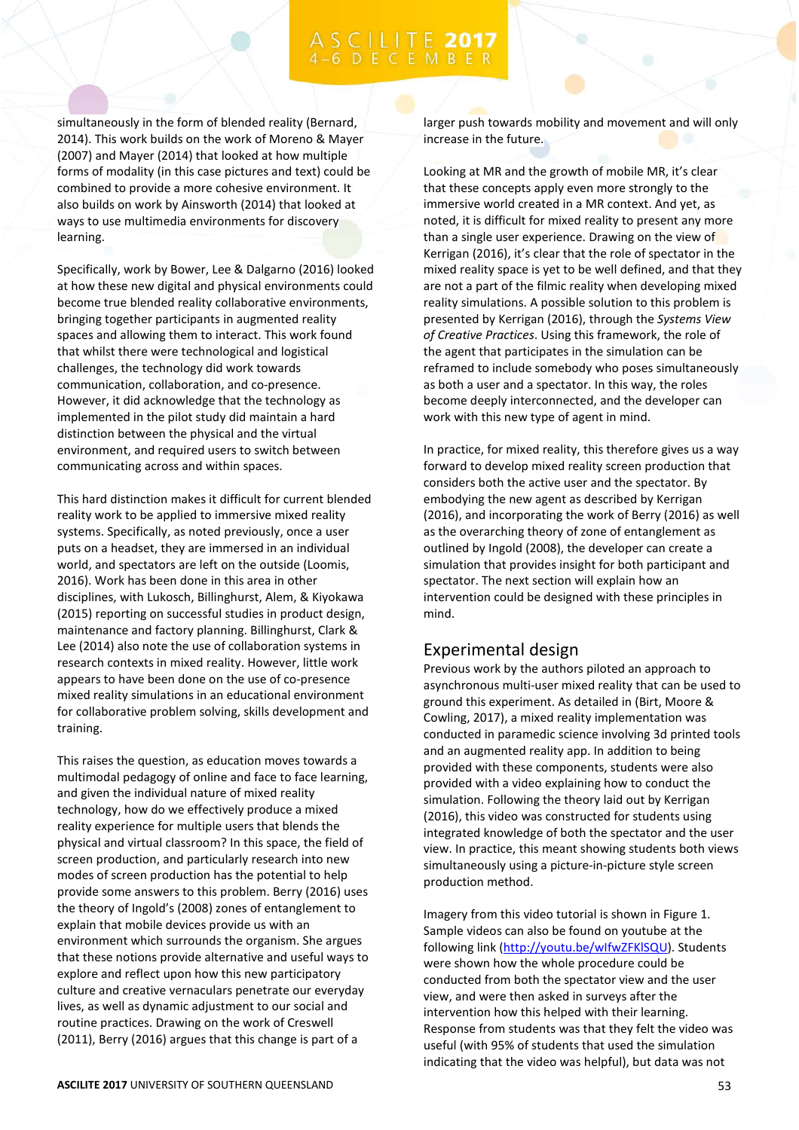# C I L I T E 2017

simultaneously in the form of blended reality (Bernard, 2014). This work builds on the work of Moreno & Mayer (2007) and Mayer (2014) that looked at how multiple forms of modality (in this case pictures and text) could be combined to provide a more cohesive environment. It also builds on work by Ainsworth (2014) that looked at ways to use multimedia environments for discovery learning.

Specifically, work by Bower, Lee & Dalgarno (2016) looked at how these new digital and physical environments could become true blended reality collaborative environments, bringing together participants in augmented reality spaces and allowing them to interact. This work found that whilst there were technological and logistical challenges, the technology did work towards communication, collaboration, and co-presence. However, it did acknowledge that the technology as implemented in the pilot study did maintain a hard distinction between the physical and the virtual environment, and required users to switch between communicating across and within spaces.

This hard distinction makes it difficult for current blended reality work to be applied to immersive mixed reality systems. Specifically, as noted previously, once a user puts on a headset, they are immersed in an individual world, and spectators are left on the outside (Loomis, 2016). Work has been done in this area in other disciplines, with Lukosch, Billinghurst, Alem, & Kiyokawa (2015) reporting on successful studies in product design, maintenance and factory planning. Billinghurst, Clark & Lee (2014) also note the use of collaboration systems in research contexts in mixed reality. However, little work appears to have been done on the use of co-presence mixed reality simulations in an educational environment for collaborative problem solving, skills development and training.

This raises the question, as education moves towards a multimodal pedagogy of online and face to face learning, and given the individual nature of mixed reality technology, how do we effectively produce a mixed reality experience for multiple users that blends the physical and virtual classroom? In this space, the field of screen production, and particularly research into new modes of screen production has the potential to help provide some answers to this problem. Berry (2016) uses the theory of Ingold's (2008) zones of entanglement to explain that mobile devices provide us with an environment which surrounds the organism. She argues that these notions provide alternative and useful ways to explore and reflect upon how this new participatory culture and creative vernaculars penetrate our everyday lives, as well as dynamic adjustment to our social and routine practices. Drawing on the work of Creswell (2011), Berry (2016) argues that this change is part of a

larger push towards mobility and movement and will only increase in the future.

Looking at MR and the growth of mobile MR, it's clear that these concepts apply even more strongly to the immersive world created in a MR context. And yet, as noted, it is difficult for mixed reality to present any more than a single user experience. Drawing on the view of Kerrigan (2016), it's clear that the role of spectator in the mixed reality space is yet to be well defined, and that they are not a part of the filmic reality when developing mixed reality simulations. A possible solution to this problem is presented by Kerrigan (2016), through the *Systems View of Creative Practices*. Using this framework, the role of the agent that participates in the simulation can be reframed to include somebody who poses simultaneously as both a user and a spectator. In this way, the roles become deeply interconnected, and the developer can work with this new type of agent in mind.

In practice, for mixed reality, this therefore gives us a way forward to develop mixed reality screen production that considers both the active user and the spectator. By embodying the new agent as described by Kerrigan (2016), and incorporating the work of Berry (2016) as well as the overarching theory of zone of entanglement as outlined by Ingold (2008), the developer can create a simulation that provides insight for both participant and spectator. The next section will explain how an intervention could be designed with these principles in mind.

### Experimental design

Previous work by the authors piloted an approach to asynchronous multi-user mixed reality that can be used to ground this experiment. As detailed in (Birt, Moore & Cowling, 2017), a mixed reality implementation was conducted in paramedic science involving 3d printed tools and an augmented reality app. In addition to being provided with these components, students were also provided with a video explaining how to conduct the simulation. Following the theory laid out by Kerrigan (2016), this video was constructed for students using integrated knowledge of both the spectator and the user view. In practice, this meant showing students both views simultaneously using a picture-in-picture style screen production method.

Imagery from this video tutorial is shown in Figure 1. Sample videos can also be found on youtube at the following link [\(http://youtu.be/wIfwZFKlSQU\)](http://youtu.be/wIfwZFKlSQU). Students were shown how the whole procedure could be conducted from both the spectator view and the user view, and were then asked in surveys after the intervention how this helped with their learning. Response from students was that they felt the video was useful (with 95% of students that used the simulation indicating that the video was helpful), but data was not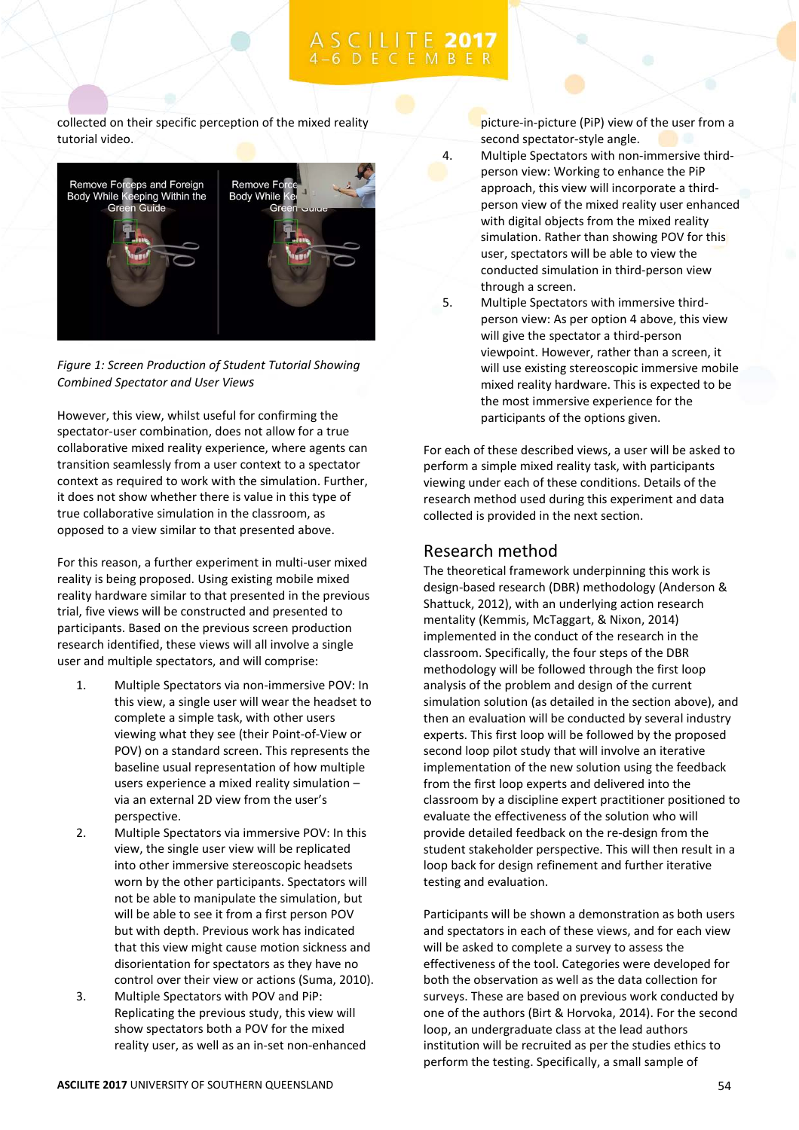collected on their specific perception of the mixed reality tutorial video.



*Figure 1: Screen Production of Student Tutorial Showing Combined Spectator and User Views*

However, this view, whilst useful for confirming the spectator-user combination, does not allow for a true collaborative mixed reality experience, where agents can transition seamlessly from a user context to a spectator context as required to work with the simulation. Further, it does not show whether there is value in this type of true collaborative simulation in the classroom, as opposed to a view similar to that presented above.

For this reason, a further experiment in multi-user mixed reality is being proposed. Using existing mobile mixed reality hardware similar to that presented in the previous trial, five views will be constructed and presented to participants. Based on the previous screen production research identified, these views will all involve a single user and multiple spectators, and will comprise:

- 1. Multiple Spectators via non-immersive POV: In this view, a single user will wear the headset to complete a simple task, with other users viewing what they see (their Point-of-View or POV) on a standard screen. This represents the baseline usual representation of how multiple users experience a mixed reality simulation – via an external 2D view from the user's perspective.
- 2. Multiple Spectators via immersive POV: In this view, the single user view will be replicated into other immersive stereoscopic headsets worn by the other participants. Spectators will not be able to manipulate the simulation, but will be able to see it from a first person POV but with depth. Previous work has indicated that this view might cause motion sickness and disorientation for spectators as they have no control over their view or actions (Suma, 2010).
- 3. Multiple Spectators with POV and PiP: Replicating the previous study, this view will show spectators both a POV for the mixed reality user, as well as an in-set non-enhanced

picture-in-picture (PiP) view of the user from a second spectator-style angle.

- 4. Multiple Spectators with non-immersive thirdperson view: Working to enhance the PiP approach, this view will incorporate a thirdperson view of the mixed reality user enhanced with digital objects from the mixed reality simulation. Rather than showing POV for this user, spectators will be able to view the conducted simulation in third-person view through a screen.
- 5. Multiple Spectators with immersive thirdperson view: As per option 4 above, this view will give the spectator a third-person viewpoint. However, rather than a screen, it will use existing stereoscopic immersive mobile mixed reality hardware. This is expected to be the most immersive experience for the participants of the options given.

For each of these described views, a user will be asked to perform a simple mixed reality task, with participants viewing under each of these conditions. Details of the research method used during this experiment and data collected is provided in the next section.

### Research method

The theoretical framework underpinning this work is design-based research (DBR) methodology (Anderson & Shattuck, 2012), with an underlying action research mentality (Kemmis, McTaggart, & Nixon, 2014) implemented in the conduct of the research in the classroom. Specifically, the four steps of the DBR methodology will be followed through the first loop analysis of the problem and design of the current simulation solution (as detailed in the section above), and then an evaluation will be conducted by several industry experts. This first loop will be followed by the proposed second loop pilot study that will involve an iterative implementation of the new solution using the feedback from the first loop experts and delivered into the classroom by a discipline expert practitioner positioned to evaluate the effectiveness of the solution who will provide detailed feedback on the re-design from the student stakeholder perspective. This will then result in a loop back for design refinement and further iterative testing and evaluation.

Participants will be shown a demonstration as both users and spectators in each of these views, and for each view will be asked to complete a survey to assess the effectiveness of the tool. Categories were developed for both the observation as well as the data collection for surveys. These are based on previous work conducted by one of the authors (Birt & Horvoka, 2014). For the second loop, an undergraduate class at the lead authors institution will be recruited as per the studies ethics to perform the testing. Specifically, a small sample of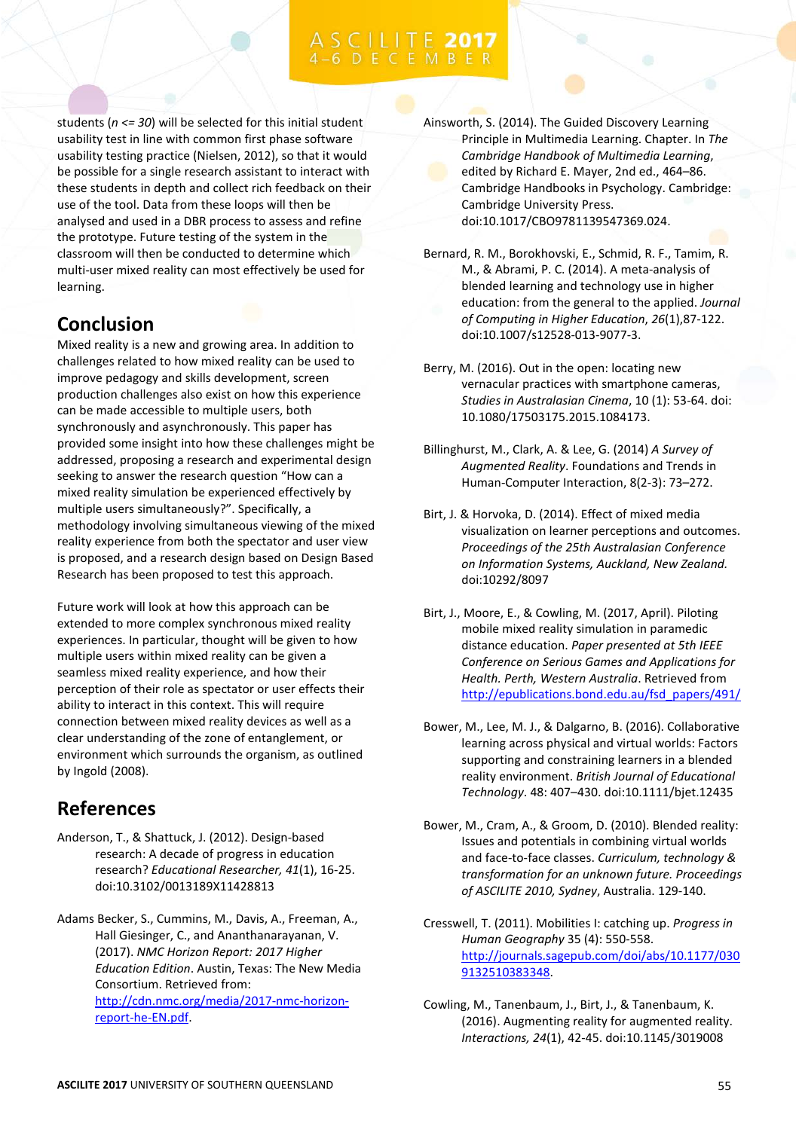students (*n <= 30*) will be selected for this initial student usability test in line with common first phase software usability testing practice (Nielsen, 2012), so that it would be possible for a single research assistant to interact with these students in depth and collect rich feedback on their use of the tool. Data from these loops will then be analysed and used in a DBR process to assess and refine the prototype. Future testing of the system in the classroom will then be conducted to determine which multi-user mixed reality can most effectively be used for learning.

# **Conclusion**

Mixed reality is a new and growing area. In addition to challenges related to how mixed reality can be used to improve pedagogy and skills development, screen production challenges also exist on how this experience can be made accessible to multiple users, both synchronously and asynchronously. This paper has provided some insight into how these challenges might be addressed, proposing a research and experimental design seeking to answer the research question "How can a mixed reality simulation be experienced effectively by multiple users simultaneously?". Specifically, a methodology involving simultaneous viewing of the mixed reality experience from both the spectator and user view is proposed, and a research design based on Design Based Research has been proposed to test this approach.

Future work will look at how this approach can be extended to more complex synchronous mixed reality experiences. In particular, thought will be given to how multiple users within mixed reality can be given a seamless mixed reality experience, and how their perception of their role as spectator or user effects their ability to interact in this context. This will require connection between mixed reality devices as well as a clear understanding of the zone of entanglement, or environment which surrounds the organism, as outlined by Ingold (2008).

# **References**

- Anderson, T., & Shattuck, J. (2012). Design-based research: A decade of progress in education research? *Educational Researcher, 41*(1), 16-25. doi:10.3102/0013189X11428813
- Adams Becker, S., Cummins, M., Davis, A., Freeman, A., Hall Giesinger, C., and Ananthanarayanan, V. (2017). *NMC Horizon Report: 2017 Higher Education Edition*. Austin, Texas: The New Media Consortium. Retrieved from: [http://cdn.nmc.org/media/2017-nmc-horizon](http://cdn.nmc.org/media/2017-nmc-horizon-report-he-EN.pdf)[report-he-EN.pdf.](http://cdn.nmc.org/media/2017-nmc-horizon-report-he-EN.pdf)

Ainsworth, S. (2014). The Guided Discovery Learning Principle in Multimedia Learning. Chapter. In *The Cambridge Handbook of Multimedia Learning*, edited by Richard E. Mayer, 2nd ed., 464–86. Cambridge Handbooks in Psychology. Cambridge: Cambridge University Press. doi:10.1017/CBO9781139547369.024.

- Bernard, R. M., Borokhovski, E., Schmid, R. F., Tamim, R. M., & Abrami, P. C. (2014). A meta-analysis of blended learning and technology use in higher education: from the general to the applied. *Journal of Computing in Higher Education*, *26*(1),87-122. doi:10.1007/s12528-013-9077-3.
- Berry, M. (2016). Out in the open: locating new vernacular practices with smartphone cameras, *Studies in Australasian Cinema*, 10 (1): 53-64. doi: 10.1080/17503175.2015.1084173.
- Billinghurst, M., Clark, A. & Lee, G. (2014) *A Survey of Augmented Reality*. Foundations and Trends in Human-Computer Interaction, 8(2-3): 73–272.
- Birt, J. & Horvoka, D. (2014). Effect of mixed media visualization on learner perceptions and outcomes. *Proceedings of the 25th Australasian Conference on Information Systems, Auckland, New Zealand.* doi:10292/8097
- Birt, J., Moore, E., & Cowling, M. (2017, April). Piloting mobile mixed reality simulation in paramedic distance education. *Paper presented at 5th IEEE Conference on Serious Games and Applications for Health. Perth, Western Australia*. Retrieved from [http://epublications.bond.edu.au/fsd\\_papers/491/](http://epublications.bond.edu.au/fsd_papers/491/)
- Bower, M., Lee, M. J., & Dalgarno, B. (2016). Collaborative learning across physical and virtual worlds: Factors supporting and constraining learners in a blended reality environment. *British Journal of Educational Technology*. 48: 407–430. doi:10.1111/bjet.12435
- Bower, M., Cram, A., & Groom, D. (2010). Blended reality: Issues and potentials in combining virtual worlds and face-to-face classes. *Curriculum, technology & transformation for an unknown future. Proceedings of ASCILITE 2010, Sydney*, Australia. 129-140.
- Cresswell, T. (2011). Mobilities I: catching up. *Progress in Human Geography* 35 (4): 550-558. [http://journals.sagepub.com/doi/abs/10.1177/030](http://journals.sagepub.com/doi/abs/10.1177/0309132510383348) [9132510383348.](http://journals.sagepub.com/doi/abs/10.1177/0309132510383348)
- Cowling, M., Tanenbaum, J., Birt, J., & Tanenbaum, K. (2016). Augmenting reality for augmented reality. *Interactions, 24*(1), 42-45. doi:10.1145/3019008